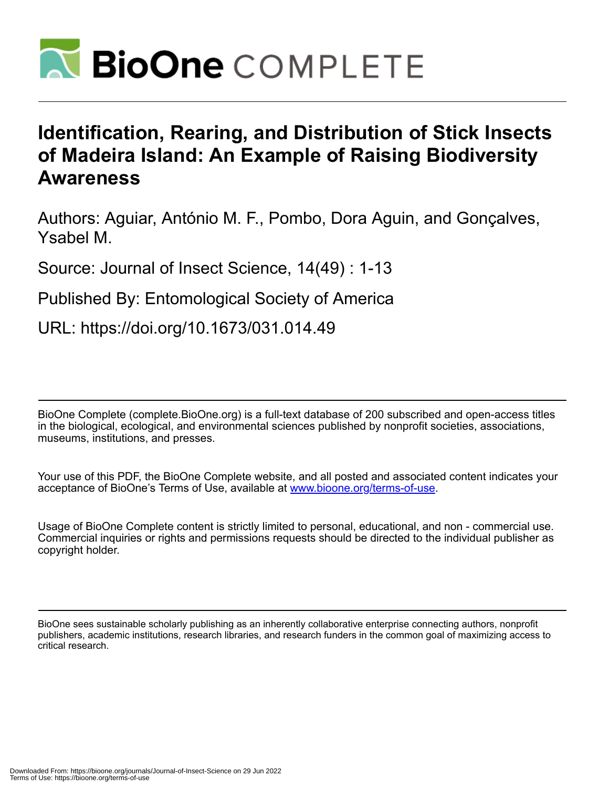

# **Identification, Rearing, and Distribution of Stick Insects of Madeira Island: An Example of Raising Biodiversity Awareness**

Authors: Aguiar, António M. F., Pombo, Dora Aguin, and Gonçalves, Ysabel M.

Source: Journal of Insect Science, 14(49) : 1-13

Published By: Entomological Society of America

URL: https://doi.org/10.1673/031.014.49

BioOne Complete (complete.BioOne.org) is a full-text database of 200 subscribed and open-access titles in the biological, ecological, and environmental sciences published by nonprofit societies, associations, museums, institutions, and presses.

Your use of this PDF, the BioOne Complete website, and all posted and associated content indicates your acceptance of BioOne's Terms of Use, available at www.bioone.org/terms-of-use.

Usage of BioOne Complete content is strictly limited to personal, educational, and non - commercial use. Commercial inquiries or rights and permissions requests should be directed to the individual publisher as copyright holder.

BioOne sees sustainable scholarly publishing as an inherently collaborative enterprise connecting authors, nonprofit publishers, academic institutions, research libraries, and research funders in the common goal of maximizing access to critical research.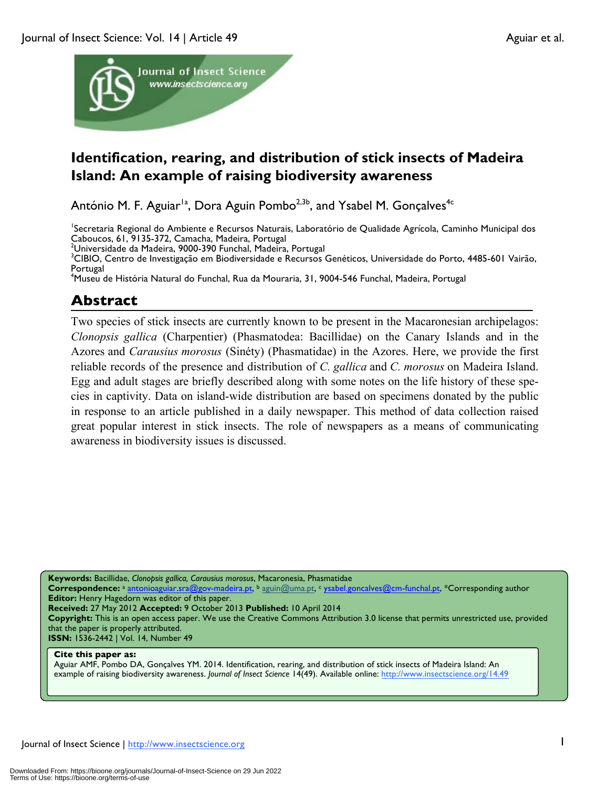

## **Identification, rearing, and distribution of stick insects of Madeira Island: An example of raising biodiversity awareness**

António M. F. Aguiar<sup>1a</sup>, Dora Aguin Pombo<sup>2,3b</sup>, and Ysabel M. Gonçalves<sup>4c</sup>

<sup>1</sup>Secretaria Regional do Ambiente e Recursos Naturais, Laboratório de Qualidade Agrícola, Caminho Municipal dos Caboucos, 61, 9135-372, Camacha, Madeira, Portugal <sup>2</sup>

<sup>2</sup>Universidade da Madeira, 9000-390 Funchal, Madeira, Portugal

<sup>3</sup>CIBIO, Centro de Investigação em Biodiversidade e Recursos Genéticos, Universidade do Porto, 4485-601 Vairão, Portugal

4 Museu de História Natural do Funchal, Rua da Mouraria, 31, 9004-546 Funchal, Madeira, Portugal

## **Abstract**

Two species of stick insects are currently known to be present in the Macaronesian archipelagos: *Clonopsis gallica* (Charpentier) (Phasmatodea: Bacillidae) on the Canary Islands and in the Azores and *Carausius morosus* (Sinéty) (Phasmatidae) in the Azores. Here, we provide the first reliable records of the presence and distribution of *C. gallica* and *C. morosus* on Madeira Island. Egg and adult stages are briefly described along with some notes on the life history of these species in captivity. Data on island-wide distribution are based on specimens donated by the public in response to an article published in a daily newspaper. This method of data collection raised great popular interest in stick insects. The role of newspapers as a means of communicating awareness in biodiversity issues is discussed.

**Keywords:** Bacillidae, *Clonopsis gallica, Carausius morosus*, Macaronesia, Phasmatidae

Correspondence: a antonioaguiar.sra@gov-madeira.pt, b aguin@uma.pt, c ysabel.goncalves@cm-funchal.pt, \*Corresponding author **Editor:** Henry Hagedorn was editor of this paper.

**Received:** 27 May 2012 **Accepted:** 9 October 2013 **Published:** 10 April 2014

**Copyright:** This is an open access paper. We use the Creative Commons Attribution 3.0 license that permits unrestricted use, provided that the paper is properly attributed.

**ISSN:** 1536-2442 | Vol. 14, Number 49

#### **Cite this paper as:**

Aguiar AMF, Pombo DA, Gonçalves YM. 2014. Identification, rearing, and distribution of stick insects of Madeira Island: An example of raising biodiversity awareness. *Journal of Insect Science* 14(49). Available online: http://www.insectscience.org/14.49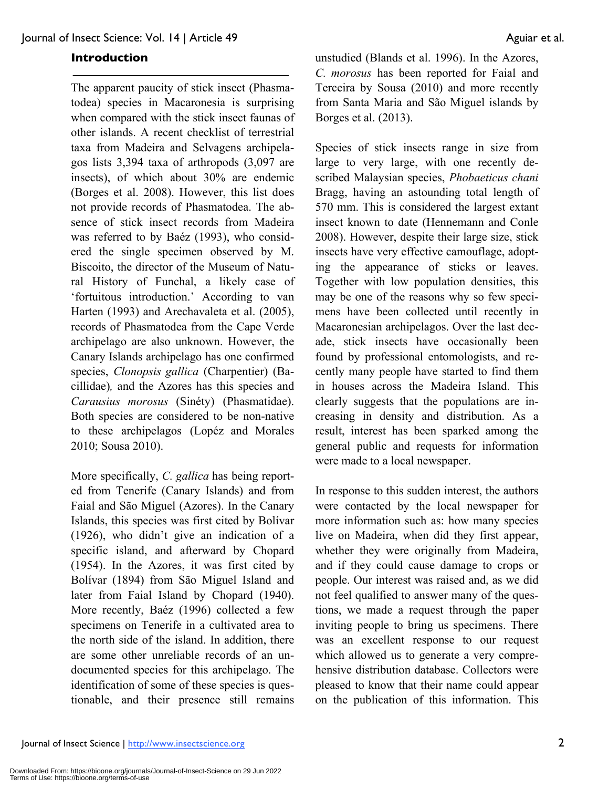#### **Introduction**

The apparent paucity of stick insect (Phasmatodea) species in Macaronesia is surprising when compared with the stick insect faunas of other islands. A recent checklist of terrestrial taxa from Madeira and Selvagens archipelagos lists 3,394 taxa of arthropods (3,097 are insects), of which about 30% are endemic (Borges et al. 2008). However, this list does not provide records of Phasmatodea. The absence of stick insect records from Madeira was referred to by Baéz (1993), who considered the single specimen observed by M. Biscoito, the director of the Museum of Natural History of Funchal, a likely case of 'fortuitous introduction.' According to van Harten (1993) and Arechavaleta et al. (2005), records of Phasmatodea from the Cape Verde archipelago are also unknown. However, the Canary Islands archipelago has one confirmed species, *Clonopsis gallica* (Charpentier) (Bacillidae)*,* and the Azores has this species and *Carausius morosus* (Sinéty) (Phasmatidae). Both species are considered to be non-native to these archipelagos (Lopéz and Morales 2010; Sousa 2010).

More specifically, *C. gallica* has being reported from Tenerife (Canary Islands) and from Faial and São Miguel (Azores). In the Canary Islands, this species was first cited by Bolívar (1926), who didn't give an indication of a specific island, and afterward by Chopard (1954). In the Azores, it was first cited by Bolívar (1894) from São Miguel Island and later from Faial Island by Chopard (1940). More recently, Baéz (1996) collected a few specimens on Tenerife in a cultivated area to the north side of the island. In addition, there are some other unreliable records of an undocumented species for this archipelago. The identification of some of these species is questionable, and their presence still remains

unstudied (Blands et al. 1996). In the Azores, *C. morosus* has been reported for Faial and Terceira by Sousa (2010) and more recently from Santa Maria and São Miguel islands by Borges et al. (2013).

Species of stick insects range in size from large to very large, with one recently described Malaysian species, *Phobaeticus chani* Bragg, having an astounding total length of 570 mm. This is considered the largest extant insect known to date (Hennemann and Conle 2008). However, despite their large size, stick insects have very effective camouflage, adopting the appearance of sticks or leaves. Together with low population densities, this may be one of the reasons why so few specimens have been collected until recently in Macaronesian archipelagos. Over the last decade, stick insects have occasionally been found by professional entomologists, and recently many people have started to find them in houses across the Madeira Island. This clearly suggests that the populations are increasing in density and distribution. As a result, interest has been sparked among the general public and requests for information were made to a local newspaper.

In response to this sudden interest, the authors were contacted by the local newspaper for more information such as: how many species live on Madeira, when did they first appear, whether they were originally from Madeira, and if they could cause damage to crops or people. Our interest was raised and, as we did not feel qualified to answer many of the questions, we made a request through the paper inviting people to bring us specimens. There was an excellent response to our request which allowed us to generate a very comprehensive distribution database. Collectors were pleased to know that their name could appear on the publication of this information. This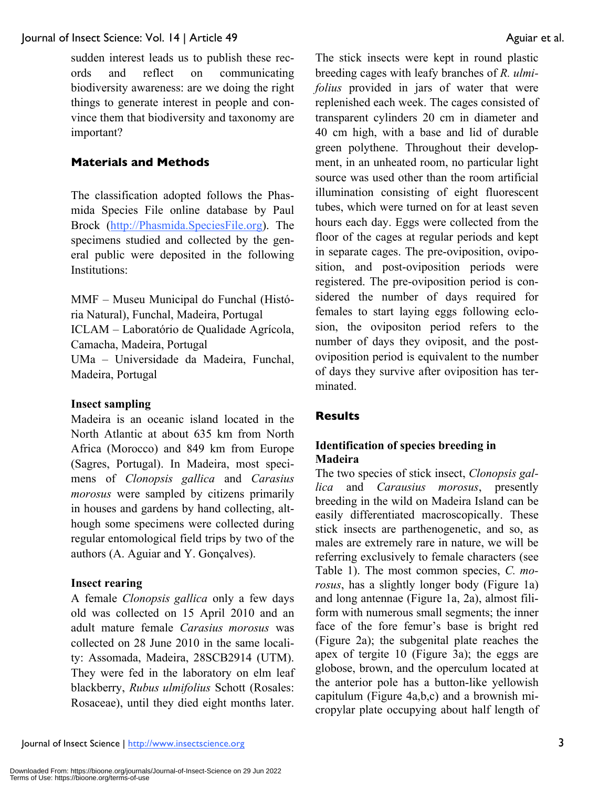sudden interest leads us to publish these records and reflect on communicating biodiversity awareness: are we doing the right things to generate interest in people and convince them that biodiversity and taxonomy are important?

## **Materials and Methods**

The classification adopted follows the Phasmida Species File online database by Paul Brock (http://Phasmida.SpeciesFile.org). The specimens studied and collected by the general public were deposited in the following Institutions:

MMF – Museu Municipal do Funchal (História Natural), Funchal, Madeira, Portugal ICLAM – Laboratório de Qualidade Agrícola, Camacha, Madeira, Portugal UMa – Universidade da Madeira, Funchal, Madeira, Portugal

#### **Insect sampling**

Madeira is an oceanic island located in the North Atlantic at about 635 km from North Africa (Morocco) and 849 km from Europe (Sagres, Portugal). In Madeira, most specimens of *Clonopsis gallica* and *Carasius morosus* were sampled by citizens primarily in houses and gardens by hand collecting, although some specimens were collected during regular entomological field trips by two of the authors (A. Aguiar and Y. Gonçalves).

#### **Insect rearing**

A female *Clonopsis gallica* only a few days old was collected on 15 April 2010 and an adult mature female *Carasius morosus* was collected on 28 June 2010 in the same locality: Assomada, Madeira, 28SCB2914 (UTM). They were fed in the laboratory on elm leaf blackberry, *Rubus ulmifolius* Schott (Rosales: Rosaceae), until they died eight months later.

The stick insects were kept in round plastic breeding cages with leafy branches of *R. ulmifolius* provided in jars of water that were replenished each week. The cages consisted of transparent cylinders 20 cm in diameter and 40 cm high, with a base and lid of durable green polythene. Throughout their development, in an unheated room, no particular light source was used other than the room artificial illumination consisting of eight fluorescent tubes, which were turned on for at least seven hours each day. Eggs were collected from the floor of the cages at regular periods and kept in separate cages. The pre-oviposition, oviposition, and post-oviposition periods were registered. The pre-oviposition period is considered the number of days required for females to start laying eggs following eclosion, the ovipositon period refers to the number of days they oviposit, and the postoviposition period is equivalent to the number of days they survive after oviposition has terminated.

#### **Results**

## **Identification of species breeding in Madeira**

The two species of stick insect, *Clonopsis gallica* and *Carausius morosus*, presently breeding in the wild on Madeira Island can be easily differentiated macroscopically. These stick insects are parthenogenetic, and so, as males are extremely rare in nature, we will be referring exclusively to female characters (see Table 1). The most common species, *C. morosus*, has a slightly longer body (Figure 1a) and long antennae (Figure 1a, 2a), almost filiform with numerous small segments; the inner face of the fore femur's base is bright red (Figure 2a); the subgenital plate reaches the apex of tergite 10 (Figure 3a); the eggs are globose, brown, and the operculum located at the anterior pole has a button-like yellowish capitulum (Figure 4a,b,c) and a brownish micropylar plate occupying about half length of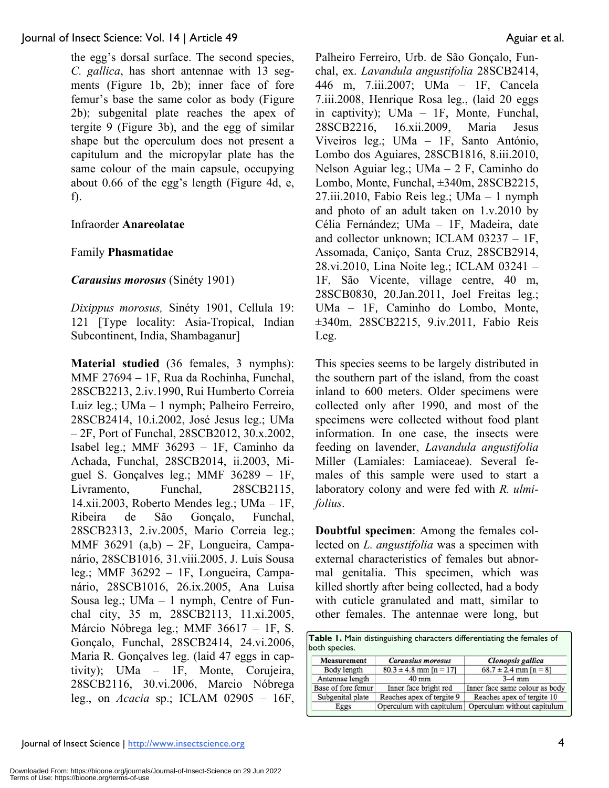the egg's dorsal surface. The second species, *C. gallica*, has short antennae with 13 segments (Figure 1b, 2b); inner face of fore femur's base the same color as body (Figure 2b); subgenital plate reaches the apex of tergite 9 (Figure 3b), and the egg of similar shape but the operculum does not present a capitulum and the micropylar plate has the same colour of the main capsule, occupying about 0.66 of the egg's length (Figure 4d, e, f).

## Infraorder **Anareolatae**

## Family **Phasmatidae**

## *Carausius morosus* (Sinéty 1901)

*Dixippus morosus,* Sinéty 1901, Cellula 19: 121 [Type locality: Asia-Tropical, Indian Subcontinent, India, Shambaganur]

**Material studied** (36 females, 3 nymphs): MMF 27694 – 1F, Rua da Rochinha, Funchal, 28SCB2213, 2.iv.1990, Rui Humberto Correia Luiz leg.; UMa – 1 nymph; Palheiro Ferreiro, 28SCB2414, 10.i.2002, José Jesus leg.; UMa – 2F, Port of Funchal, 28SCB2012, 30.x.2002, Isabel leg.; MMF 36293 – 1F, Caminho da Achada, Funchal, 28SCB2014, ii.2003, Miguel S. Gonçalves leg.; MMF 36289 – 1F, Livramento, Funchal, 28SCB2115, 14.xii.2003, Roberto Mendes leg.; UMa – 1F, Ribeira de São Gonçalo, Funchal, 28SCB2313, 2.iv.2005, Mario Correia leg.; MMF 36291 (a,b) – 2F, Longueira, Campanário, 28SCB1016, 31.viii.2005, J. Luis Sousa leg.; MMF 36292 – 1F, Longueira, Campanário, 28SCB1016, 26.ix.2005, Ana Luisa Sousa leg.; UMa – 1 nymph, Centre of Funchal city, 35 m, 28SCB2113, 11.xi.2005, Márcio Nóbrega leg.; MMF 36617 – 1F, S. Gonçalo, Funchal, 28SCB2414, 24.vi.2006, Maria R. Gonçalves leg. (laid 47 eggs in captivity); UMa – 1F, Monte, Corujeira, 28SCB2116, 30.vi.2006, Marcio Nóbrega leg., on *Acacia* sp.; ICLAM 02905 – 16F,

Palheiro Ferreiro, Urb. de São Gonçalo, Funchal, ex. *Lavandula angustifolia* 28SCB2414, 446 m, 7.iii.2007; UMa – 1F, Cancela 7.iii.2008, Henrique Rosa leg., (laid 20 eggs in captivity); UMa – 1F, Monte, Funchal, 28SCB2216, 16.xii.2009, Maria Jesus Viveiros leg.; UMa – 1F, Santo António, Lombo dos Aguiares, 28SCB1816, 8.iii.2010, Nelson Aguiar leg.; UMa – 2 F, Caminho do Lombo, Monte, Funchal, ±340m, 28SCB2215, 27.iii.2010, Fabio Reis leg.; UMa – 1 nymph and photo of an adult taken on 1.v.2010 by Célia Fernández; UMa – 1F, Madeira, date and collector unknown; ICLAM 03237 – 1F, Assomada, Caniço, Santa Cruz, 28SCB2914, 28.vi.2010, Lina Noite leg.; ICLAM 03241 – 1F, São Vicente, village centre, 40 m, 28SCB0830, 20.Jan.2011, Joel Freitas leg.; UMa – 1F, Caminho do Lombo, Monte, ±340m, 28SCB2215, 9.iv.2011, Fabio Reis Leg.

This species seems to be largely distributed in the southern part of the island, from the coast inland to 600 meters. Older specimens were collected only after 1990, and most of the specimens were collected without food plant information. In one case, the insects were feeding on lavender, *Lavandula angustifolia*  Miller (Lamiales: Lamiaceae). Several females of this sample were used to start a laboratory colony and were fed with *R. ulmifolius*.

**Doubtful specimen**: Among the females collected on *L. angustifolia* was a specimen with external characteristics of females but abnormal genitalia. This specimen, which was killed shortly after being collected, had a body with cuticle granulated and matt, similar to other females. The antennae were long, but

| both species.      |                            |                                |
|--------------------|----------------------------|--------------------------------|
| <b>Measurement</b> | <b>Carausius morosus</b>   | <b>Clonopsis</b> gallica       |
| Body length        | $80.3 \pm 4.8$ mm [n = 17] | $68.7 \pm 2.4$ mm [n = 8]      |
| Antennae length    | $40$ mm                    | $3-4$ mm                       |
| Base of fore femur | Inner face bright red      | Inner face same colour as body |
| Subgenital plate   | Reaches apex of tergite 9  | Reaches apex of tergite 10     |
| Eggs               | Operculum with capitulum   | Operculum without capitulum    |

**Table 1.** Main distinguishing characters differentiating the females of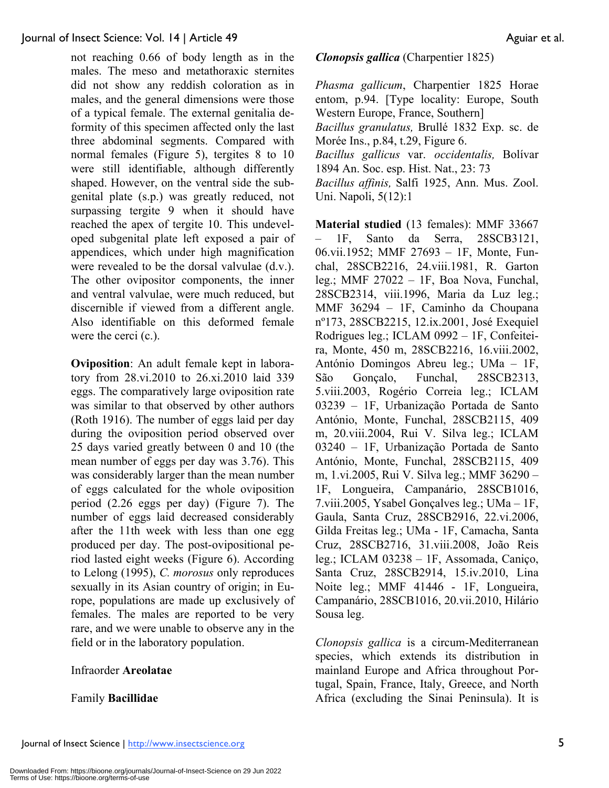not reaching 0.66 of body length as in the males. The meso and metathoraxic sternites did not show any reddish coloration as in males, and the general dimensions were those of a typical female. The external genitalia deformity of this specimen affected only the last three abdominal segments. Compared with normal females (Figure 5), tergites 8 to 10 were still identifiable, although differently shaped. However, on the ventral side the subgenital plate (s.p.) was greatly reduced, not surpassing tergite 9 when it should have reached the apex of tergite 10. This undeveloped subgenital plate left exposed a pair of appendices, which under high magnification were revealed to be the dorsal valvulae (d.v.). The other ovipositor components, the inner and ventral valvulae, were much reduced, but discernible if viewed from a different angle. Also identifiable on this deformed female were the cerci (c.).

**Oviposition**: An adult female kept in laboratory from 28.vi.2010 to 26.xi.2010 laid 339 eggs. The comparatively large oviposition rate was similar to that observed by other authors (Roth 1916). The number of eggs laid per day during the oviposition period observed over 25 days varied greatly between 0 and 10 (the mean number of eggs per day was 3.76). This was considerably larger than the mean number of eggs calculated for the whole oviposition period (2.26 eggs per day) (Figure 7). The number of eggs laid decreased considerably after the 11th week with less than one egg produced per day. The post-ovipositional period lasted eight weeks (Figure 6). According to Lelong (1995), *C. morosus* only reproduces sexually in its Asian country of origin; in Europe, populations are made up exclusively of females. The males are reported to be very rare, and we were unable to observe any in the field or in the laboratory population.

#### Infraorder **Areolatae**

#### Family **Bacillidae**

#### *Clonopsis gallica* (Charpentier 1825)

*Phasma gallicum*, Charpentier 1825 Horae entom, p.94. [Type locality: Europe, South Western Europe, France, Southern] *Bacillus granulatus,* Brullé 1832 Exp. sc. de Morée Ins., p.84, t.29, Figure 6. *Bacillus gallicus* var. *occidentalis,* Bolívar 1894 An. Soc. esp. Hist. Nat., 23: 73 *Bacillus affinis,* Salfi 1925, Ann. Mus. Zool. Uni. Napoli, 5(12):1

**Material studied** (13 females): MMF 33667 – 1F, Santo da Serra, 28SCB3121, 06.vii.1952; MMF 27693 – 1F, Monte, Funchal, 28SCB2216, 24.viii.1981, R. Garton leg.; MMF 27022 – 1F, Boa Nova, Funchal, 28SCB2314, viii.1996, Maria da Luz leg.; MMF 36294 – 1F, Caminho da Choupana nº173, 28SCB2215, 12.ix.2001, José Exequiel Rodrigues leg.; ICLAM 0992 – 1F, Confeiteira, Monte, 450 m, 28SCB2216, 16.viii.2002, António Domingos Abreu leg.; UMa – 1F, São Gonçalo, Funchal, 28SCB2313, 5.viii.2003, Rogério Correia leg.; ICLAM 03239 – 1F, Urbanização Portada de Santo António, Monte, Funchal, 28SCB2115, 409 m, 20.viii.2004, Rui V. Silva leg.; ICLAM 03240 – 1F, Urbanização Portada de Santo António, Monte, Funchal, 28SCB2115, 409 m, 1.vi.2005, Rui V. Silva leg.; MMF 36290 – 1F, Longueira, Campanário, 28SCB1016, 7.viii.2005, Ysabel Gonçalves leg.; UMa – 1F, Gaula, Santa Cruz, 28SCB2916, 22.vi.2006, Gilda Freitas leg.; UMa - 1F, Camacha, Santa Cruz, 28SCB2716, 31.viii.2008, João Reis leg.; ICLAM 03238 – 1F, Assomada, Caniço, Santa Cruz, 28SCB2914, 15.iv.2010, Lina Noite leg.; MMF 41446 - 1F, Longueira, Campanário, 28SCB1016, 20.vii.2010, Hilário Sousa leg.

*Clonopsis gallica* is a circum-Mediterranean species, which extends its distribution in mainland Europe and Africa throughout Portugal, Spain, France, Italy, Greece, and North Africa (excluding the Sinai Peninsula). It is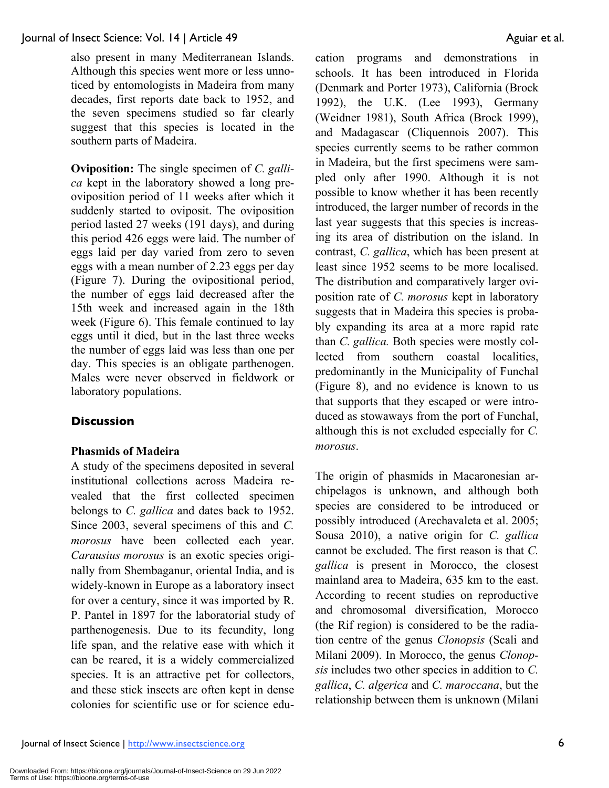also present in many Mediterranean Islands. Although this species went more or less unnoticed by entomologists in Madeira from many decades, first reports date back to 1952, and the seven specimens studied so far clearly suggest that this species is located in the southern parts of Madeira.

**Oviposition:** The single specimen of *C. gallica* kept in the laboratory showed a long preoviposition period of 11 weeks after which it suddenly started to oviposit. The oviposition period lasted 27 weeks (191 days), and during this period 426 eggs were laid. The number of eggs laid per day varied from zero to seven eggs with a mean number of 2.23 eggs per day (Figure 7). During the ovipositional period, the number of eggs laid decreased after the 15th week and increased again in the 18th week (Figure 6). This female continued to lay eggs until it died, but in the last three weeks the number of eggs laid was less than one per day. This species is an obligate parthenogen. Males were never observed in fieldwork or laboratory populations.

## **Discussion**

## **Phasmids of Madeira**

A study of the specimens deposited in several institutional collections across Madeira revealed that the first collected specimen belongs to *C. gallica* and dates back to 1952. Since 2003, several specimens of this and *C. morosus* have been collected each year. *Carausius morosus* is an exotic species originally from Shembaganur, oriental India, and is widely-known in Europe as a laboratory insect for over a century, since it was imported by R. P. Pantel in 1897 for the laboratorial study of parthenogenesis. Due to its fecundity, long life span, and the relative ease with which it can be reared, it is a widely commercialized species. It is an attractive pet for collectors, and these stick insects are often kept in dense colonies for scientific use or for science education programs and demonstrations in schools. It has been introduced in Florida (Denmark and Porter 1973), California (Brock 1992), the U.K. (Lee 1993), Germany (Weidner 1981), South Africa (Brock 1999), and Madagascar (Cliquennois 2007). This species currently seems to be rather common in Madeira, but the first specimens were sampled only after 1990. Although it is not possible to know whether it has been recently introduced, the larger number of records in the last year suggests that this species is increasing its area of distribution on the island. In contrast, *C. gallica*, which has been present at least since 1952 seems to be more localised. The distribution and comparatively larger oviposition rate of *C. morosus* kept in laboratory suggests that in Madeira this species is probably expanding its area at a more rapid rate than *C. gallica.* Both species were mostly collected from southern coastal localities, predominantly in the Municipality of Funchal (Figure 8), and no evidence is known to us that supports that they escaped or were introduced as stowaways from the port of Funchal, although this is not excluded especially for *C. morosus*.

The origin of phasmids in Macaronesian archipelagos is unknown, and although both species are considered to be introduced or possibly introduced (Arechavaleta et al. 2005; Sousa 2010), a native origin for *C. gallica* cannot be excluded. The first reason is that *C. gallica* is present in Morocco, the closest mainland area to Madeira, 635 km to the east. According to recent studies on reproductive and chromosomal diversification, Morocco (the Rif region) is considered to be the radiation centre of the genus *Clonopsis* (Scali and Milani 2009). In Morocco, the genus *Clonopsis* includes two other species in addition to *C. gallica*, *C. algerica* and *C. maroccana*, but the relationship between them is unknown (Milani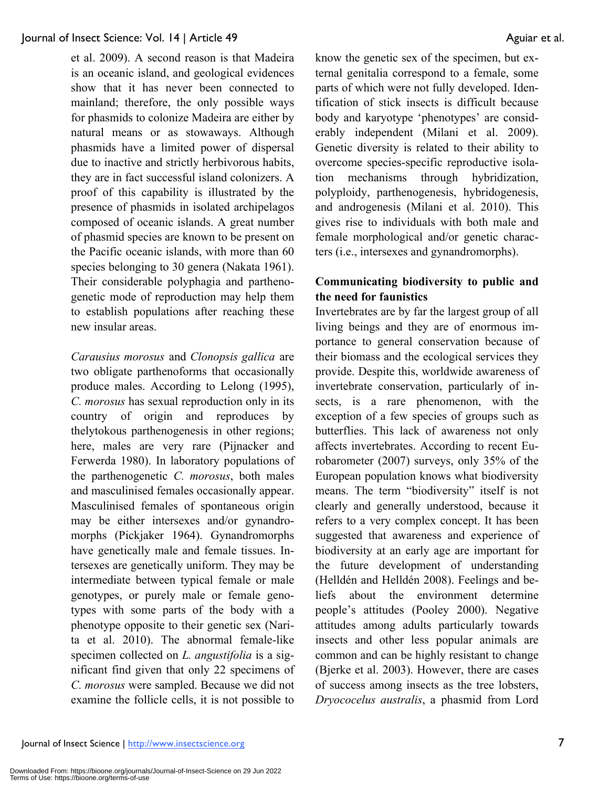et al. 2009). A second reason is that Madeira is an oceanic island, and geological evidences show that it has never been connected to mainland; therefore, the only possible ways for phasmids to colonize Madeira are either by natural means or as stowaways. Although phasmids have a limited power of dispersal due to inactive and strictly herbivorous habits, they are in fact successful island colonizers. A proof of this capability is illustrated by the presence of phasmids in isolated archipelagos composed of oceanic islands. A great number of phasmid species are known to be present on the Pacific oceanic islands, with more than 60 species belonging to 30 genera (Nakata 1961). Their considerable polyphagia and parthenogenetic mode of reproduction may help them to establish populations after reaching these new insular areas.

*Carausius morosus* and *Clonopsis gallica* are two obligate parthenoforms that occasionally produce males. According to Lelong (1995), *C. morosus* has sexual reproduction only in its country of origin and reproduces by thelytokous parthenogenesis in other regions; here, males are very rare (Pijnacker and Ferwerda 1980). In laboratory populations of the parthenogenetic *C. morosus*, both males and masculinised females occasionally appear. Masculinised females of spontaneous origin may be either intersexes and/or gynandromorphs (Pickjaker 1964). Gynandromorphs have genetically male and female tissues. Intersexes are genetically uniform. They may be intermediate between typical female or male genotypes, or purely male or female genotypes with some parts of the body with a phenotype opposite to their genetic sex (Narita et al. 2010). The abnormal female-like specimen collected on *L. angustifolia* is a significant find given that only 22 specimens of *C. morosus* were sampled. Because we did not examine the follicle cells, it is not possible to

know the genetic sex of the specimen, but external genitalia correspond to a female, some parts of which were not fully developed. Identification of stick insects is difficult because body and karyotype 'phenotypes' are considerably independent (Milani et al. 2009). Genetic diversity is related to their ability to overcome species-specific reproductive isolation mechanisms through hybridization, polyploidy, parthenogenesis, hybridogenesis, and androgenesis (Milani et al. 2010). This gives rise to individuals with both male and female morphological and/or genetic characters (i.e., intersexes and gynandromorphs).

### **Communicating biodiversity to public and the need for faunistics**

Invertebrates are by far the largest group of all living beings and they are of enormous importance to general conservation because of their biomass and the ecological services they provide. Despite this, worldwide awareness of invertebrate conservation, particularly of insects, is a rare phenomenon, with the exception of a few species of groups such as butterflies. This lack of awareness not only affects invertebrates. According to recent Eurobarometer (2007) surveys, only 35% of the European population knows what biodiversity means. The term "biodiversity" itself is not clearly and generally understood, because it refers to a very complex concept. It has been suggested that awareness and experience of biodiversity at an early age are important for the future development of understanding (Helldén and Helldén 2008). Feelings and beliefs about the environment determine people's attitudes (Pooley 2000). Negative attitudes among adults particularly towards insects and other less popular animals are common and can be highly resistant to change (Bjerke et al. 2003). However, there are cases of success among insects as the tree lobsters, *Dryococelus australis*, a phasmid from Lord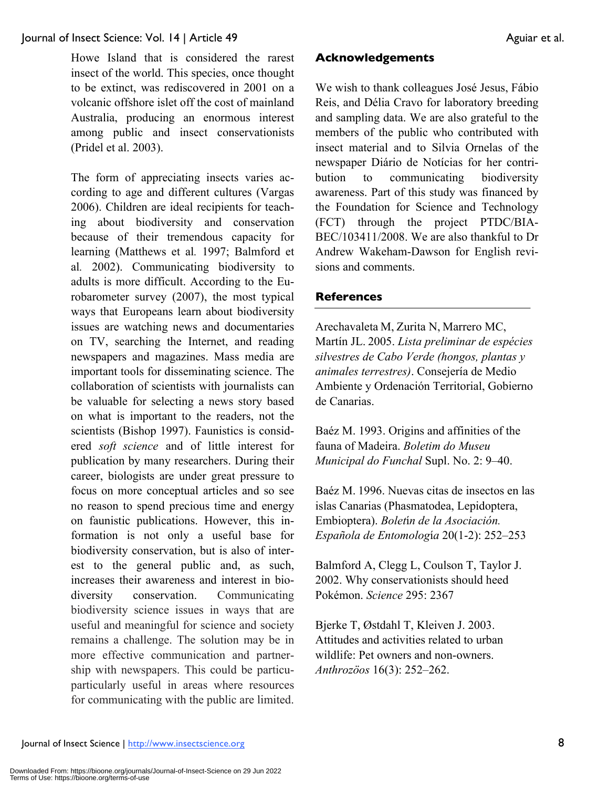Howe Island that is considered the rarest insect of the world. This species, once thought to be extinct, was rediscovered in 2001 on a volcanic offshore islet off the cost of mainland Australia, producing an enormous interest among public and insect conservationists (Pridel et al. 2003).

The form of appreciating insects varies according to age and different cultures (Vargas 2006). Children are ideal recipients for teaching about biodiversity and conservation because of their tremendous capacity for learning (Matthews et al*.* 1997; Balmford et al*.* 2002). Communicating biodiversity to adults is more difficult. According to the Eurobarometer survey (2007), the most typical ways that Europeans learn about biodiversity issues are watching news and documentaries on TV, searching the Internet, and reading newspapers and magazines. Mass media are important tools for disseminating science. The collaboration of scientists with journalists can be valuable for selecting a news story based on what is important to the readers, not the scientists (Bishop 1997). Faunistics is considered *soft science* and of little interest for publication by many researchers. During their career, biologists are under great pressure to focus on more conceptual articles and so see no reason to spend precious time and energy on faunistic publications. However, this information is not only a useful base for biodiversity conservation, but is also of interest to the general public and, as such, increases their awareness and interest in biodiversity conservation. Communicating biodiversity science issues in ways that are useful and meaningful for science and society remains a challenge. The solution may be in more effective communication and partnership with newspapers. This could be particuparticularly useful in areas where resources for communicating with the public are limited.

#### **Acknowledgements**

We wish to thank colleagues José Jesus, Fábio Reis, and Délia Cravo for laboratory breeding and sampling data. We are also grateful to the members of the public who contributed with insect material and to Silvia Ornelas of the newspaper Diário de Notícias for her contribution to communicating biodiversity awareness. Part of this study was financed by the Foundation for Science and Technology (FCT) through the project PTDC/BIA-BEC/103411/2008. We are also thankful to Dr Andrew Wakeham-Dawson for English revisions and comments.

#### **References**

Arechavaleta M, Zurita N, Marrero MC, Martín JL. 2005. *Lista preliminar de espécies silvestres de Cabo Verde (hongos, plantas y animales terrestres)*. Consejería de Medio Ambiente y Ordenación Territorial, Gobierno de Canarias.

Baéz M. 1993. Origins and affinities of the fauna of Madeira. *Boletim do Museu Municipal do Funchal* Supl. No. 2: 9–40.

Baéz M. 1996. Nuevas citas de insectos en las islas Canarias (Phasmatodea, Lepidoptera, Embioptera). *Bolet*í*n de la Asociación. Española de Entomolog*í*a* 20(1-2): 252–253

Balmford A, Clegg L, Coulson T, Taylor J. 2002. Why conservationists should heed Pokémon. *Science* 295: 2367

Bjerke T, Østdahl T, Kleiven J. 2003. Attitudes and activities related to urban wildlife: Pet owners and non-owners. *Anthrozöos* 16(3): 252–262.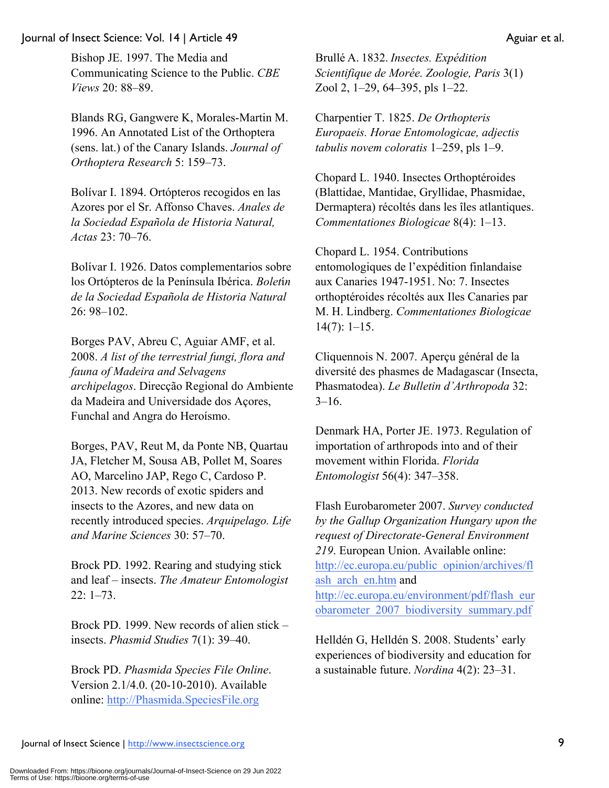Bishop JE. 1997. The Media and Communicating Science to the Public. *CBE Views* 20: 88–89.

Blands RG, Gangwere K, Morales-Martin M. 1996. An Annotated List of the Orthoptera (sens. lat.) of the Canary Islands. *Journal of Orthoptera Research* 5: 159–73.

Bolívar I. 1894. Ortópteros recogidos en las Azores por el Sr. Affonso Chaves. *Anales de la Sociedad Española de Historia Natural, Actas* 23: 70–76.

Bolívar I. 1926. Datos complementarios sobre los Ortópteros de la Península Ibérica. *Bolet*í*n de la Sociedad Española de Historia Natural* 26: 98–102.

Borges PAV, Abreu C, Aguiar AMF, et al. 2008. *A list of the terrestrial fungi, flora and fauna of Madeira and Selvagens archipelagos*. Direcção Regional do Ambiente da Madeira and Universidade dos Açores, Funchal and Angra do Heroísmo.

Borges, PAV, Reut M, da Ponte NB, Quartau JA, Fletcher M, Sousa AB, Pollet M, Soares AO, Marcelino JAP, Rego C, Cardoso P. 2013. New records of exotic spiders and insects to the Azores, and new data on recently introduced species. *Arquipelago. Life and Marine Sciences* 30: 57–70.

Brock PD. 1992. Rearing and studying stick and leaf – insects. *The Amateur Entomologist* 22: 1–73.

Brock PD. 1999. New records of alien stick – insects. *Phasmid Studies* 7(1): 39–40.

Brock PD. *Phasmida Species File Online*. Version 2.1/4.0. (20-10-2010). Available online: http://Phasmida.SpeciesFile.org

Brullé A. 1832. *Insectes. Expédition Scientifique de Morée. Zoologie, Paris* 3(1) Zool 2, 1–29, 64–395, pls 1–22.

Charpentier T. 1825. *De Orthopteris Europaeis. Horae Entomologicae, adjectis tabulis novem coloratis* 1–259, pls 1–9.

Chopard L. 1940. Insectes Orthoptéroides (Blattidae, Mantidae, Gryllidae, Phasmidae, Dermaptera) récoltés dans les îles atlantiques. *Commentationes Biologicae* 8(4): 1–13.

Chopard L. 1954. Contributions entomologiques de l'expédition finlandaise aux Canaries 1947-1951. No: 7. Insectes orthoptéroides récoltés aux Iles Canaries par M. H. Lindberg. *Commentationes Biologicae*  $14(7)$ :  $1-15$ .

Cliquennois N. 2007. Aperçu général de la diversité des phasmes de Madagascar (Insecta, Phasmatodea). *Le Bulletin d'Arthropoda* 32:  $3-16.$ 

Denmark HA, Porter JE. 1973. Regulation of importation of arthropods into and of their movement within Florida. *Florida Entomologist* 56(4): 347–358.

Flash Eurobarometer 2007. *Survey conducted by the Gallup Organization Hungary upon the request of Directorate-General Environment 219*. European Union. Available online: http://ec.europa.eu/public\_opinion/archives/fl ash arch en.htm and http://ec.europa.eu/environment/pdf/flash\_eur obarometer\_2007\_biodiversity\_summary.pdf

Helldén G, Helldén S. 2008. Students' early experiences of biodiversity and education for a sustainable future. *Nordina* 4(2): 23–31.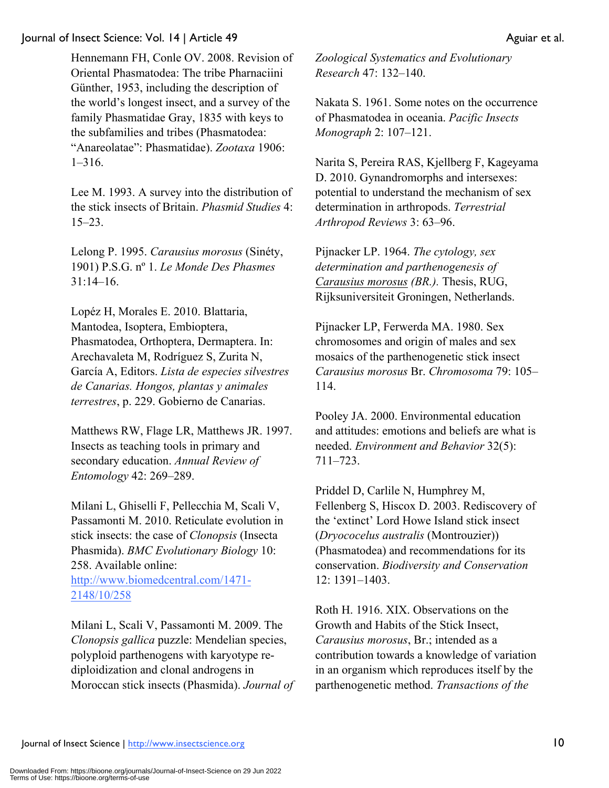Hennemann FH, Conle OV. 2008. Revision of Oriental Phasmatodea: The tribe Pharnaciini Günther, 1953, including the description of the world's longest insect, and a survey of the family Phasmatidae Gray, 1835 with keys to the subfamilies and tribes (Phasmatodea: "Anareolatae": Phasmatidae). *Zootaxa* 1906: 1–316.

Lee M. 1993. A survey into the distribution of the stick insects of Britain. *Phasmid Studies* 4: 15–23.

Lelong P. 1995. *Carausius morosus* (Sinéty, 1901) P.S.G. nº 1. *Le Monde Des Phasmes* 31:14–16.

Lopéz H, Morales E. 2010. Blattaria, Mantodea, Isoptera, Embioptera, Phasmatodea, Orthoptera, Dermaptera. In: Arechavaleta M, Rodríguez S, Zurita N, García A, Editors. *Lista de especies silvestres de Canarias. Hongos, plantas y animales terrestres*, p. 229. Gobierno de Canarias.

Matthews RW, Flage LR, Matthews JR. 1997. Insects as teaching tools in primary and secondary education. *Annual Review of Entomology* 42: 269–289.

Milani L, Ghiselli F, Pellecchia M, Scali V, Passamonti M. 2010. Reticulate evolution in stick insects: the case of *Clonopsis* (Insecta Phasmida). *BMC Evolutionary Biology* 10: 258. Available online:

http://www.biomedcentral.com/1471- 2148/10/258

Milani L, Scali V, Passamonti M. 2009. The *Clonopsis gallica* puzzle: Mendelian species, polyploid parthenogens with karyotype rediploidization and clonal androgens in Moroccan stick insects (Phasmida). *Journal of*  *Zoological Systematics and Evolutionary Research* 47: 132–140.

Nakata S. 1961. Some notes on the occurrence of Phasmatodea in oceania. *Pacific Insects Monograph* 2: 107–121.

Narita S, Pereira RAS, Kjellberg F, Kageyama D. 2010. Gynandromorphs and intersexes: potential to understand the mechanism of sex determination in arthropods. *Terrestrial Arthropod Reviews* 3: 63–96.

Pijnacker LP. 1964. *The cytology, sex determination and parthenogenesis of Carausius morosus (BR.).* Thesis, RUG, Rijksuniversiteit Groningen, Netherlands.

Pijnacker LP, Ferwerda MA. 1980. Sex chromosomes and origin of males and sex mosaics of the parthenogenetic stick insect *Carausius morosus* Br. *Chromosoma* 79: 105– 114.

Pooley JA. 2000. Environmental education and attitudes: emotions and beliefs are what is needed. *Environment and Behavior* 32(5): 711–723.

Priddel D, Carlile N, Humphrey M, Fellenberg S, Hiscox D. 2003. Rediscovery of the 'extinct' Lord Howe Island stick insect (*Dryococelus australis* (Montrouzier)) (Phasmatodea) and recommendations for its conservation. *Biodiversity and Conservation* 12: 1391–1403.

Roth H. 1916. XIX. Observations on the Growth and Habits of the Stick Insect, *Carausius morosus*, Br.; intended as a contribution towards a knowledge of variation in an organism which reproduces itself by the parthenogenetic method. *Transactions of the*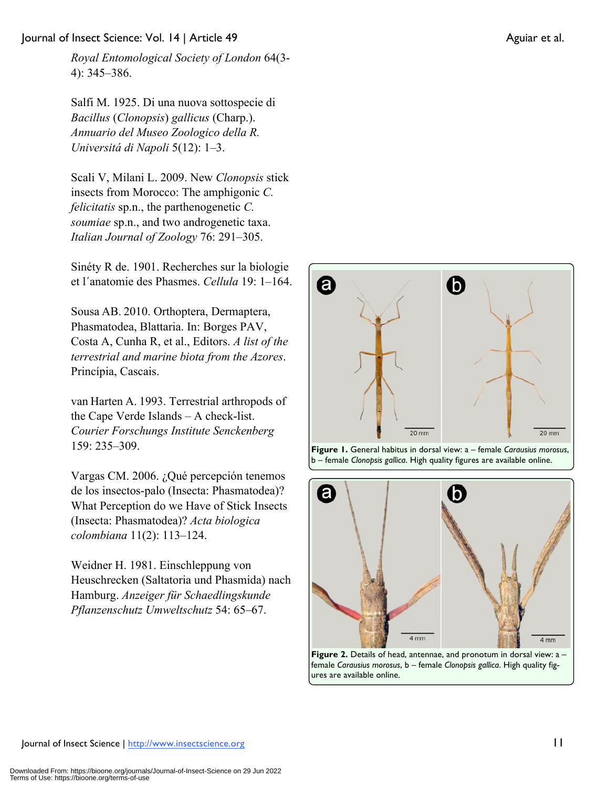Salfi M. 1925. Di una nuova sottospecie di *Bacillus* (*Clonopsis*) *gallicus* (Charp.). *Annuario del Museo Zoologico della R. Universitá di Napoli* 5(12): 1–3.

Scali V, Milani L. 2009. New *Clonopsis* stick insects from Morocco: The amphigonic *C. felicitatis* sp.n., the parthenogenetic *C. soumiae* sp.n., and two androgenetic taxa. *Italian Journal of Zoology* 76: 291–305.

Sinéty R de. 1901. Recherches sur la biologie et l´anatomie des Phasmes. *Cellula* 19: 1–164.

Sousa AB. 2010. Orthoptera, Dermaptera, Phasmatodea, Blattaria. In: Borges PAV, Costa A, Cunha R, et al., Editors. *A list of the terrestrial and marine biota from the Azores*. Princípia, Cascais.

van Harten A. 1993. Terrestrial arthropods of the Cape Verde Islands – A check-list. *Courier Forschungs Institute Senckenberg* 159: 235–309.

Vargas CM. 2006. ¿Qué percepción tenemos de los insectos-palo (Insecta: Phasmatodea)? What Perception do we Have of Stick Insects (Insecta: Phasmatodea)? *Acta biologica colombiana* 11(2): 113–124.

Weidner H. 1981. Einschleppung von Heuschrecken (Saltatoria und Phasmida) nach Hamburg. *Anzeiger für Schaedlingskunde Pflanzenschutz Umweltschutz* 54: 65–67.







female *Carausius morosus*, b – female *Clonopsis gallica*. High quality figures are available online.

 $20 \text{ mm}$ 

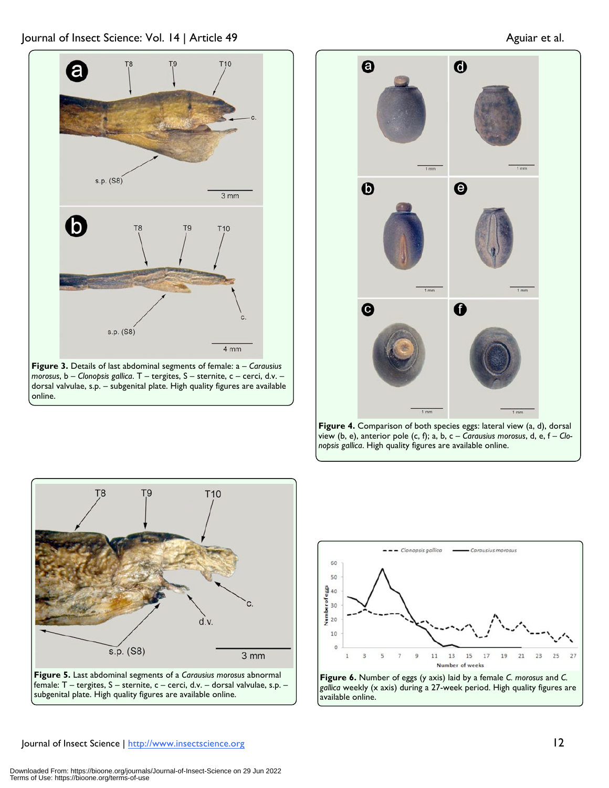

**Figure 3.** Details of last abdominal segments of female: a – *Carausius morosus*, b – *Clonopsis gallica*. T – tergites, S – sternite, c – cerci, d.v. – dorsal valvulae, s.p. – subgenital plate. High quality figures are available online.









**Figure 6.** Number of eggs (y axis) laid by a female *C. morosus* and *C. gallica* weekly (x axis) during a 27-week period. High quality figures are available online.

#### Journal of Insect Science | http://www.insectscience.org 12